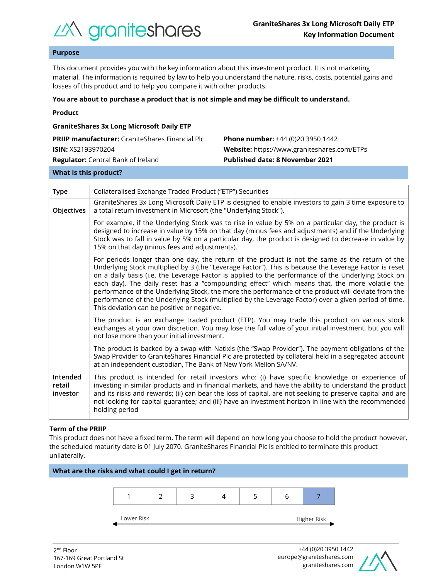

# **Purpose**

This document provides you with the key information about this investment product. It is not marketing material. The information is required by law to help you understand the nature, risks, costs, potential gains and losses of this product and to help you compare it with other products.

#### **You are about to purchase a product that is not simple and may be difficult to understand.**

| <b>GraniteShares 3x Long Microsoft Daily ETP</b>       |                                             |  |  |  |
|--------------------------------------------------------|---------------------------------------------|--|--|--|
| <b>PRIIP manufacturer:</b> GraniteShares Financial Plc | <b>Phone number:</b> +44 (0)20 3950 1442    |  |  |  |
| <b>ISIN: XS2193970204</b>                              | Website: https://www.graniteshares.com/ETPs |  |  |  |
| <b>Regulator:</b> Central Bank of Ireland              | <b>Published date: 8 November 2021</b>      |  |  |  |
|                                                        |                                             |  |  |  |

#### **What is this product?**

| <b>Type</b>                    | Collateralised Exchange Traded Product ("ETP") Securities                                                                                                                                                                                                                                                                                                                                                                                                                                                                                                                                                                                                                      |  |  |  |
|--------------------------------|--------------------------------------------------------------------------------------------------------------------------------------------------------------------------------------------------------------------------------------------------------------------------------------------------------------------------------------------------------------------------------------------------------------------------------------------------------------------------------------------------------------------------------------------------------------------------------------------------------------------------------------------------------------------------------|--|--|--|
| Objectives                     | GraniteShares 3x Long Microsoft Daily ETP is designed to enable investors to gain 3 time exposure to<br>a total return investment in Microsoft (the "Underlying Stock").                                                                                                                                                                                                                                                                                                                                                                                                                                                                                                       |  |  |  |
|                                | For example, if the Underlying Stock was to rise in value by 5% on a particular day, the product is<br>designed to increase in value by 15% on that day (minus fees and adjustments) and if the Underlying<br>Stock was to fall in value by 5% on a particular day, the product is designed to decrease in value by<br>15% on that day (minus fees and adjustments).                                                                                                                                                                                                                                                                                                           |  |  |  |
|                                | For periods longer than one day, the return of the product is not the same as the return of the<br>Underlying Stock multiplied by 3 (the "Leverage Factor"). This is because the Leverage Factor is reset<br>on a daily basis (i.e. the Leverage Factor is applied to the performance of the Underlying Stock on<br>each day). The daily reset has a "compounding effect" which means that, the more volatile the<br>performance of the Underlying Stock, the more the performance of the product will deviate from the<br>performance of the Underlying Stock (multiplied by the Leverage Factor) over a given period of time.<br>This deviation can be positive or negative. |  |  |  |
|                                | The product is an exchange traded product (ETP). You may trade this product on various stock<br>exchanges at your own discretion. You may lose the full value of your initial investment, but you will<br>not lose more than your initial investment.                                                                                                                                                                                                                                                                                                                                                                                                                          |  |  |  |
|                                | The product is backed by a swap with Natixis (the "Swap Provider"). The payment obligations of the<br>Swap Provider to GraniteShares Financial Plc are protected by collateral held in a segregated account<br>at an independent custodian, The Bank of New York Mellon SA/NV.                                                                                                                                                                                                                                                                                                                                                                                                 |  |  |  |
| Intended<br>retail<br>investor | This product is intended for retail investors who: (i) have specific knowledge or experience of<br>investing in similar products and in financial markets, and have the ability to understand the product<br>and its risks and rewards; (ii) can bear the loss of capital, are not seeking to preserve capital and are<br>not looking for capital guarantee; and (iii) have an investment horizon in line with the recommended<br>holding period                                                                                                                                                                                                                               |  |  |  |

#### **Term of the PRIIP**

This product does not have a fixed term. The term will depend on how long you choose to hold the product however, the scheduled maturity date is 01 July 2070. GraniteShares Financial Plc is entitled to terminate this product unilaterally.



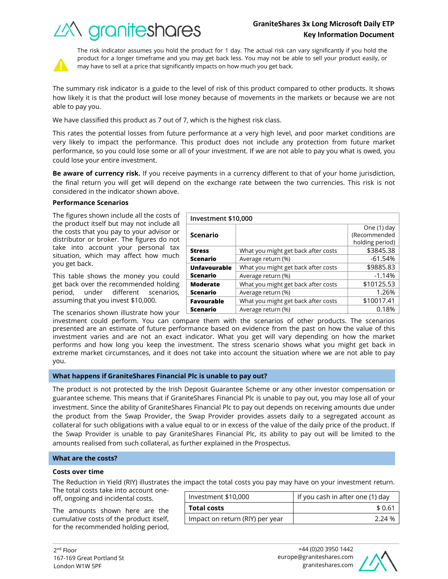# **GraniteShares 3x Long Microsoft Daily ETP Key Information Document**

What you might get back after costs  $\sim$  \$3845.38 Average return (%) and the set of the set of  $-61.54\%$ 

What you might get back after costs | \$9885.83 Average return (%) and the set of the set of the set of the set of the set of the set of the set of the set of the set of the set of the set of the set of the set of the set of the set of the set of the set of the set of t

What you might get back after costs  $\vert$  \$10125.53 Average return (%) and the set of the set of the 1.26%





The risk indicator assumes you hold the product for 1 day. The actual risk can vary significantly if you hold the product for a longer timeframe and you may get back less. You may not be able to sell your product easily, or may have to sell at a price that significantly impacts on how much you get back.

The summary risk indicator is a guide to the level of risk of this product compared to other products. It shows how likely it is that the product will lose money because of movements in the markets or because we are not able to pay you.

We have classified this product as 7 out of 7, which is the highest risk class.

This rates the potential losses from future performance at a very high level, and poor market conditions are very likely to impact the performance. This product does not include any protection from future market performance, so you could lose some or all of your investment. If we are not able to pay you what is owed, you could lose your entire investment.

**Be aware of currency risk.** If you receive payments in a currency different to that of your home jurisdiction, the final return you will get will depend on the exchange rate between the two currencies. This risk is not considered in the indicator shown above.

**Investment \$10,000**

**Scenario**

**Unfavourable Scenario**

**Moderate Scenario**

**Stress Scenario**

## **Performance Scenarios**

The figures shown include all the costs of the product itself but may not include all the costs that you pay to your advisor or distributor or broker. The figures do not take into account your personal tax situation, which may affect how much you get back.

This table shows the money you could get back over the recommended holding period, under different scenarios, assuming that you invest \$10,000.

The scenarios shown illustrate how your

investment could perform. You can compare them with the scenarios of other products. The scenarios presented are an estimate of future performance based on evidence from the past on how the value of this investment varies and are not an exact indicator. What you get will vary depending on how the market performs and how long you keep the investment. The stress scenario shows what you might get back in extreme market circumstances, and it does not take into account the situation where we are not able to pay you. **Favourable Scenario** What you might get back after costs  $\vert$  \$10017.41 Average return (%) and the control of the 0.18%

## **What happens if GraniteShares Financial Plc is unable to pay out?**

The product is not protected by the Irish Deposit Guarantee Scheme or any other investor compensation or guarantee scheme. This means that if GraniteShares Financial Plc is unable to pay out, you may lose all of your investment. Since the ability of GraniteShares Financial Plc to pay out depends on receiving amounts due under the product from the Swap Provider, the Swap Provider provides assets daily to a segregated account as collateral for such obligations with a value equal to or in excess of the value of the daily price of the product. If the Swap Provider is unable to pay GraniteShares Financial Plc, its ability to pay out will be limited to the amounts realised from such collateral, as further explained in the Prospectus.

## **What are the costs?**

#### **Costs over time**

The Reduction in Yield (RIY) illustrates the impact the total costs you pay may have on your investment return.

The total costs take into account oneoff, ongoing and incidental costs.

The amounts shown here are the cumulative costs of the product itself, for the recommended holding period,

| Investment \$10,000             | If you cash in after one (1) day |  |
|---------------------------------|----------------------------------|--|
| <b>Total costs</b>              | \$0.61                           |  |
| Impact on return (RIY) per year | 224%                             |  |



One (1) day (Recommended holding period)